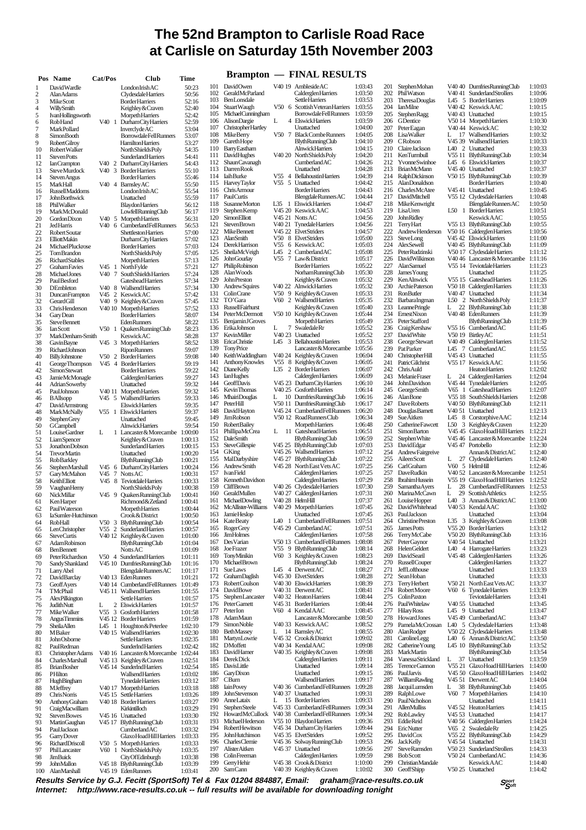## **The 52nd Brampton to Carlisle Road Race at Carlisle on Saturday 15th November 2003**

|                         | Pos Name                                   | Cat/Pos              |                        | Club                                                              | Time               |            |                                            |                         | <b>Brampton — FINAL RESULTS</b>                                         |                    |            |                                           |  |
|-------------------------|--------------------------------------------|----------------------|------------------------|-------------------------------------------------------------------|--------------------|------------|--------------------------------------------|-------------------------|-------------------------------------------------------------------------|--------------------|------------|-------------------------------------------|--|
| $\mathbf{1}$            | David Wardle                               |                      |                        | LondonIrishAC                                                     | 50:23              | 101        | DavidOwen                                  |                         | V40 19 Ambleside AC                                                     | 1:03:43            | 201        | <b>StephenMohan</b>                       |  |
| $\overline{\mathbf{c}}$ | Alan Adams                                 |                      |                        | Clydesdale Harriers                                               | 50:56              | 102        | GeraldMcParland                            |                         | Calderglen Harriers                                                     | 1:03:50            | 202        | PhilWatson                                |  |
| 3                       | <b>MikeScott</b>                           |                      |                        | <b>BorderHarriers</b>                                             | 52:16              | 103        | BenLonsdale                                |                         | <b>Settle Harriers</b>                                                  | 1:03:53            | 203        | <b>TheresaDouglas</b>                     |  |
| 4                       | WillySmith                                 |                      |                        | Keighley & Craven                                                 | 52:40              | 104<br>105 | Stuart Waugh<br>MichaelCunningham          | V506                    | Scottish Veteran Harriers<br>Borrowdale Fell Runners                    | 1:03:55<br>1:03:59 | 204<br>205 | <b>IanMilne</b><br><b>StephenRagg</b>     |  |
| 5<br>6                  | IvanHollingsworth<br><b>RobHand</b>        |                      |                        | <b>MorpethHarriers</b><br>V40 1 DurhamCityHarriers                | 52:42<br>52:59     | 106        | <b>AlisonDargie</b>                        | L                       | 4 Elswick Harriers                                                      | 1:03:59            | 206        | GDentice                                  |  |
| 7                       | <b>MarkPollard</b>                         |                      |                        | <b>Inverclyde AC</b>                                              | 53:04              | 107        | <b>ChristopherHartley</b>                  |                         | Unattached                                                              | 1:04:00            | 207        | <b>PeterEagan</b>                         |  |
| 8                       | <b>SimonBooth</b>                          |                      |                        | <b>BorrowdaleFellRunners</b>                                      | 53:07              | 108        | Mike Berry                                 |                         | V50 7 BlackCombeRunners                                                 | 1:04:05            | 208        | <b>LisaWalker</b>                         |  |
| 9                       | <b>RobertGilroy</b>                        |                      |                        | <b>Hamilton Harriers</b>                                          | 53:27              | 109<br>110 | Gareth Hope<br>BarryEastham                |                         | BlythRunningClub<br><b>Alnwick Harriers</b>                             | 1:04:10<br>1:04:15 | 209<br>210 | CRobson<br><b>Claire Jackson</b>          |  |
| 10<br>11                | Robert Walker<br><b>StevenPotts</b>        |                      |                        | North Shields Poly<br><b>Sunderland Harriers</b>                  | 54:35<br>54:41     | 111        | DavidHughes                                |                         | V40 20 NorthShieldsPoly                                                 | 1:04:20            | 211        | KenTurmbull                               |  |
| 12                      | <b>IanCrampton</b>                         |                      |                        | V40 2 Durham City Harriers                                        | 54:43              | 112        | <b>ShaunCavanagh</b>                       |                         | CumberlandAC                                                            | 1:04:26            | 212        | YvonneSwinhoe                             |  |
| 13                      | <b>SteveMurdock</b>                        |                      | V403                   | <b>Border Harriers</b>                                            | 55:10              | 113        | Darren Rook                                |                         | Unattached                                                              | 1:04:28            | 213        | <b>BrianMcMann</b>                        |  |
| 14                      | <b>Steven</b> Angus                        |                      |                        | <b>BorderHarriers</b>                                             | 55:46              | 114<br>115 | <b>IaihBurke</b><br>HarveyTaylor           |                         | V55 4 Bellahoustin Harriers<br>V55 5 Unattached                         | 1:04:39<br>1:04:42 | 214<br>215 | RalphDickinson<br>AlanDonaldson           |  |
| 15<br>16                | <b>MarkHall</b><br><b>RussellMaddoms</b>   |                      |                        | V40 4 Barnsley AC<br>LondonIrishAC                                | 55:50<br>55:54     | 116        | ChrisArmour                                |                         | <b>Border Harriers</b>                                                  | 1:04:43            | 216        | <b>Charles McAtee</b>                     |  |
| 17                      | <b>JohnBorthwick</b>                       |                      |                        | Unattached                                                        | 55:59              | 117        | PaulCurtis                                 |                         | BlengdaleRunnersAC                                                      | 1:04:44            | 217        | DavidMitchell                             |  |
| 18                      | PhilWalker                                 |                      |                        | <b>Blaydon Harriers</b>                                           | 56:12              | 118        | <b>SusanneMorton</b>                       |                         | L35 1 Elswick Harriers                                                  | 1:04:47            | 218        | MikeKenwright                             |  |
| 19                      | MarkMcDonald                               |                      |                        | LowfellRunningClub                                                | 56:17              | 119<br>120 | Stephen Kemp<br>SimonElliott               |                         | V45 20 Keswick AAC<br>V45 21 Notts AC                                   | 1:04:53<br>1:04:56 | 219<br>220 | LisaUren<br>JohnRidley                    |  |
| 20<br>21                | <b>GordonDixon</b><br>JedHarris            |                      |                        | V40 5 Morpeth Harriers<br>V40 6 CumberlandFellRunners             | 56:31<br>56:53     | 121        | <b>StevenBrown</b>                         |                         | V40 21 Tynedale Harriers                                                | 1:04:56            | 221        | <b>Terry Hart</b>                         |  |
| 22                      | Robert Soutar                              |                      |                        | Shettleston Harriers                                              | 57:00              | 122        | <b>MikeBennett</b>                         |                         | V45 22 ElvetStriders                                                    | 1:04:57            | 222        | Andrew Henderson                          |  |
| 23                      | ElliottMakin                               |                      |                        | DurhamCityHarriers                                                | 57:02              | 123        | AlanSmith                                  |                         | V50 8 ElvetStriders                                                     | 1:05:00            | 223        | SteveLong                                 |  |
| 24                      | <b>MichaelPluckrose</b>                    |                      |                        | <b>Border Harriers</b>                                            | 57:03              | 124<br>125 | Derek Harrison<br>SheilaMcVeigh            | V55<br>L45              | 6 KeswickAC<br>2 CumberlandAC                                           | 1:05:03<br>1:05:08 | 224<br>225 | AlexSewell<br><b>PeterRudzinski</b>       |  |
| 25<br>26                | TomBrandon<br><b>RichardStables</b>        |                      |                        | North Shields Poly<br><b>Morpeth Harriers</b>                     | 57:05<br>57:13     | 126        | John Gourlay                               | V55 7                   | Law & District                                                          | 1:05:17            | 226        | <b>DavidWilkinson</b>                     |  |
| 27                      | <b>GrahamFavies</b>                        |                      |                        | V45 1 NorthFylde                                                  | 57:21              | 127        | PhilipRobinson                             |                         | <b>Border Harriers</b>                                                  | 1:05:22            | 227        | AlanSamuel                                |  |
| 28                      | Michael Jones                              |                      |                        | V40 7 SouthShieldsHarriers                                        | 57:24              | 128        | Alan Woods                                 |                         | NorhamRunningClub                                                       | 1:05:30            | 228        | James Young                               |  |
| 29                      | <b>PaulBesford</b>                         |                      |                        | <b>Gateshead Harriers</b>                                         | 57:34              | 129<br>130 | <b>John Preston</b><br>Andrew Squires      |                         | Keighley & Craven<br>V40 22 Alnwick Harriers                            | 1:05:32<br>1:05:32 | 229<br>230 | KenAlnwick<br>Archie Paterson             |  |
| 30<br>31                | <b>DEmbleton</b><br>Duncan Frampton        | V45                  | V <sub>40</sub> 8<br>2 | WallsendHarriers<br><b>KeswickAC</b>                              | 57:34<br>57:42     | 131        | ColinCrane                                 |                         | V50 9 Keighley & Craven                                                 | 1:05:33            | 231        | <b>RonButler</b>                          |  |
| 32                      | GerardGill                                 |                      |                        | V40 9 Keighley&Craven                                             | 57:45              | 132        | TO'Gara                                    |                         | V60 2 Wallsend Harriers                                                 | 1:05:35            | 232        | BarbaraIngman                             |  |
| 33                      | Chris Henderson                            |                      |                        | V40 10 Morpeth Harriers                                           | 57:52              | 133        | <b>RussellFairhurst</b>                    |                         | Keighley & Craven                                                       | 1:05:40            | 233        | LeannePringle                             |  |
| 34                      | <b>Gary</b> Dean                           |                      |                        | <b>Border Harriers</b>                                            | 58:07              | 134        | <b>PeterMcDermott</b>                      |                         | V50 10 Keighley&Craven                                                  | 1:05:44            | 234        | <b>EmestNixon</b>                         |  |
| 35<br>36                | <b>SteveBennett</b><br><b>Ian Scott</b>    |                      | V50 1                  | <b>Eden Runners</b><br>QuakersRunningClub                         | 58:22<br>58:23     | 135<br>136 | <b>BenjaminJGroves</b><br>ErikaJohnson     | L                       | Morpeth Harriers<br>7 SwaledaleRr                                       | 1:05:49<br>1:05:52 | 235<br>236 | PeterStafford<br>Craig Kershaw            |  |
| 37                      | MarkDenham-Smith                           |                      |                        | KeswickAC                                                         | 58:28              | 137        | KevinMiller                                |                         | V40 23 Unattached                                                       | 1:05:52            | 237        | <b>DavidWhite</b>                         |  |
| 38                      | GavinBayne                                 |                      |                        | V45 3 Morpeth Harriers                                            | 58:52              | 138        | EricaChristie                              | 3<br>L45                | <b>BellahoustinHarriers</b>                                             | 1:05:53            | 238        | George Stewart                            |  |
| 39                      | <b>RichardJohnson</b>                      |                      |                        | <b>RiponRunners</b>                                               | 59:07              | 139        | <b>TonyPrice</b>                           |                         | Lancaster&Morecambe 1:05:56                                             |                    | 239        | Pat Parker                                |  |
| 40                      | BillyJohnstone                             |                      |                        | V50 2 BorderHarriers                                              | 59:08              | 140<br>141 | Keith Waddingham<br>Anthony Knowles        | V55                     | V40 24 Keighley & Craven<br>8 Keighley & Craven                         | 1:06:04<br>1:06:05 | 240<br>241 | <b>ChristopherHill</b><br>PatricGilchrist |  |
| 41<br>42                | George Thompson<br><b>SimonStewart</b>     |                      |                        | V45 4 Border Harriers<br><b>BorderHarriers</b>                    | 59:19<br>59:22     | 142        | <b>DianeKelly</b>                          |                         | L35 2 Border Harriers                                                   | 1:06:07            | 242        | Chris Auld                                |  |
| 43                      | <b>JamieMcMonagle</b>                      |                      |                        | Calderglen Harriers                                               | 59:27              | 143        | <b>IanHughes</b>                           |                         | Calderglen Harriers                                                     | 1:06:09            | 243        | Melanie Fraser                            |  |
| 44                      | <b>AdrianSowerby</b>                       |                      |                        | Unattached                                                        | 59:32              | 144        | GeoffDavis                                 | V45 23                  | <b>DurhamCityHarriers</b>                                               | 1:06:10            | 244        | <b>JohnDavidson</b>                       |  |
| 45                      | PaulJohnson                                |                      |                        | V40 11 Morpeth Harriers                                           | 59:32              | 145<br>146 | <b>KevinThomas</b><br><b>MhairiDouglas</b> | V <sub>40</sub> 25<br>L | <b>Gosforth Harriers</b><br>10 DumfriesRunningClub                      | 1:06:14<br>1:06:16 | 245<br>246 | George Smith<br><b>AlanBone</b>           |  |
| 46<br>47                | <b>BAllsopp</b><br>DavidArmstrong          |                      |                        | V45 5 Wallsend Harriers<br><b>Elswick Harriers</b>                | 59:33<br>59:35     | 147        | <b>PeterHill</b>                           |                         | V50 11 DumfriesRunningClub                                              | 1:06:17            | 247        | Dave Roberts                              |  |
| 48                      | MarkMcNally                                |                      |                        | V55 1 Elswick Harriers                                            | 59:37              | 148        | DavidHayton                                |                         | V45 24 CumberlandFellRunners                                            | 1:06:20            | 248        | Douglas Barnett                           |  |
| 49                      | <b>StephenGrey</b>                         |                      |                        | Unattached                                                        | 59:45              | 149        | JimRobson                                  |                         | V50 12 RoadRunnersClub                                                  | 1:06:34            | 249        | <b>Sue Aitken</b>                         |  |
| 50                      | GCampbell                                  |                      |                        | <b>Alnwick Harriers</b>                                           | 59:54              | 150<br>151 | <b>RobertBailey</b><br>PhillipaMcCrea      | L                       | <b>Morpeth Harriers</b><br>11 Gateshead Harriers                        | 1:06:48<br>1:06:51 | 250<br>251 | Catherine Fawcett<br><b>SimonBarton</b>   |  |
| 51<br>52                | Louise Gardner<br>LiamSpencer              | L                    |                        | 1 Lancaster & Morecambe 1:00:00<br>Keighley & Craven              | 1:00:13            | 152        | DaleSmith                                  |                         | BlythRunningClub                                                        | 1:06:59            | 252        | Stephen White                             |  |
| 53                      | Jonathon Dobson                            |                      |                        | <b>Sunderland Harriers</b>                                        | 1:00:15            | 153        | <b>SteveGillespie</b>                      |                         | V45 25 BlythRunningClub                                                 | 1:07:03            | 253        | DavidEdgar                                |  |
| 54                      | <b>TrevorMartin</b>                        |                      |                        | Unattached                                                        | 1:00:20            | 154        | GKing                                      |                         | V45 26 Wallsend Harriers                                                | 1:07:12            | 254        | <b>AndrewFairgreive</b>                   |  |
| 55                      | <b>RobBarkley</b>                          |                      |                        | BlythRunningClub                                                  | 1:00:21            | 155        | MalDarbyshire                              |                         | V45 27 BlythRunningClub                                                 | 1:07:22            | 255        | AileenScott                               |  |
| 56<br>57                | Stephen Marshall<br>GaryMcMahon            | V45<br>V45           |                        | 6 DurhamCityHarriers<br>7 Notts AC                                | 1:00:24<br>1:00:31 | 156<br>157 | <b>AndrewSmith</b><br><b>IvanField</b>     |                         | V45 28 North East Vets AC<br>Calderglen Harriers                        | 1:07:25<br>1:07:25 | 256<br>257 | CarlGraham<br>DaveRudkin                  |  |
| 58                      | KeithElliott                               |                      |                        | V45 8 Teviotdale Harriers                                         | 1:00:33            | 158        | KennethDavidson                            |                         | Calderglen Harriers                                                     | 1:07:29            | 258        | <b>IbrahimHussein</b>                     |  |
| 59                      | Vaughan Hemy                               |                      |                        | North Shields Poly                                                | 1:00:38            | 159        | CliffBrown                                 |                         | V40 26 Clydesdale Harriers                                              | 1:07:30            | 259        | Samantha Ayers                            |  |
| 60                      | NickMillar                                 | V45                  | - 9                    | <b>QuakersRunningClub</b>                                         | 1:00:41            | 160<br>161 | GeraldMullen                               |                         | V40 27 Calderglen Harriers<br>V40 28 HelmHill                           | 1:07:31            | 260<br>261 | MarinaMcCawn<br>Louise Hopper             |  |
| 61<br>62                | KenHarper<br>Paul Waterson                 |                      |                        | Richmond&Zetland<br><b>MorpethHarriers</b>                        | 1:00:41<br>1:00:44 | 162        | MichaelDowling<br>McAllister-Williams      |                         | V40 29 Morpeth Harriers                                                 | 1:07:37<br>1:07:45 | 262        | David Whitehead                           |  |
| 63                      | IaSumler-Hutchinson                        |                      |                        | Crook & District                                                  | 1:00:50            | 163        | Jamie Heslop                               |                         | Unattached                                                              | 1:07:45            | 263        | Paul Jackson                              |  |
| 64                      | RobHall                                    | V50                  |                        | 3 BlythRunningClub                                                | 1:00:54            | 164        | <b>KateBeaty</b>                           |                         | L40 1 CumberlandFellRunners 1:07:51                                     |                    | 264        | <b>Christine Preston</b>                  |  |
| 65                      | LenChristopher                             |                      |                        | V55 2 Sunderland Harriers                                         | 1:00:57            | 165        | <b>RogerGrey</b>                           |                         | V45 29 CumberlandAC                                                     | 1:07:51            | 265        | James Potts                               |  |
| 66<br>67                | <b>SteveCurtis</b><br><b>AdamRobinson</b>  |                      |                        | V40 12 Keighley & Craven<br><b>BlythRunningClub</b>               | 1:01:00<br>1:01:04 | 166<br>167 | <b>JimHolmes</b><br><b>Des Varian</b>      |                         | Calderglen Harriers<br>V50 13 CumberlandFellRunners                     | 1:07:58<br>1:08:08 | 266<br>267 | Terry McCabe<br><b>PeterGaynor</b>        |  |
| 68                      | <b>BenBennett</b>                          |                      |                        | <b>Notts AC</b>                                                   | 1:01:09            | 168        | <b>JoeFrazer</b>                           | V <sub>55</sub><br>9    | <b>BlythRunningClub</b>                                                 | 1:08:14            | 268        | <b>HelenGeldert</b>                       |  |
| 69                      | <b>PeterRichardson</b>                     |                      |                        | V50 4 Sunderland Harriers                                         | 1:01:11            | 169        | TonyMinikin                                |                         | V60 3 Keighley&Craven                                                   | 1:08:23            | 269        | <b>DavidSearil</b>                        |  |
| 70                      | Sandy Shankland                            |                      |                        | V45 10 DumfriesRunningClub                                        | 1:01:16            | 170        | MichaelBrown<br><b>SueLaws</b>             | L45                     | BlythRunningClub<br>4 Derwent AC                                        | 1:08:24            | 270        | <b>Russell</b> Couper                     |  |
| 71<br>72                | LarryAbel<br><b>DavidBarclay</b>           |                      |                        | Blengdale Runners AC<br>V40 13 EdenRunners                        | 1:01:17<br>1:01:21 | 171<br>172 | <b>GrahamDaglish</b>                       |                         | V45 30 ElvetStriders                                                    | 1:08:27<br>1:08:28 | 271<br>272 | JeffLofthouse<br>Sean Hoban               |  |
| 73                      | GeoffAyers                                 |                      |                        | V40 14 CumberlandFellRunners                                      | 1:01:49            | 173        | Robert Coulson                             |                         | V40 30 Elswick Harriers                                                 | 1:08:39            | 273        | <b>Terry Herbert</b>                      |  |
| 74                      | TMcPhail                                   |                      |                        | V45 11 Wallsend Harriers                                          | 1:01:55            | 174        | <b>DavidBowe</b>                           |                         | V40 31 DerwentAC                                                        | 1:08:41            | 274        | <b>RobertMoore</b>                        |  |
| 75                      | AlexPilkington                             |                      |                        | <b>Settle Harriers</b>                                            | 1:01:57            | 175        | StephenLancaster                           |                         | V40 32 Heaton Harriers                                                  | 1:08:44            | 275        | ColinPaxton                               |  |
| 76<br>77                | <b>JudithNutt</b><br>Mike Walker           | L<br>V <sub>55</sub> | 2<br>3                 | <b>ElswickHarriers</b><br><b>GosforthHarriers</b>                 | 1:01:57            | 176<br>177 | PeterGarnett<br>PeterIon                   |                         | V45 31 Border Harriers<br>V60 4 KendalAAC                               | 1:08:44<br>1:08:45 | 276<br>277 | <b>PaulWhitelaw</b><br><b>HilaryRoss</b>  |  |
| 78                      | <b>AngusTimmins</b>                        |                      |                        | V45 12 BorderHarriers                                             | 1:01:58<br>1:01:59 | 178        | AdamMaun                                   |                         | Lancaster&Morecambe 1:08:50                                             |                    | 278        | <b>HowardJones</b>                        |  |
| 79                      | SheilaAllen                                | L45                  | -1                     | Houghton & Peterlee                                               | 1:02:10            | 179        | <b>SimonNoble</b>                          |                         | V40 33 Keswick AAC                                                      | 1:08:52            | 279        | PamelaMcCrossan                           |  |
| 80                      | MBaker                                     |                      |                        | V40 15 Wallsend Harriers                                          | 1:02:30            | 180        | BethMassey                                 | L                       | 14 BarnsleyAC                                                           | 1:08:55            | 280        | <b>AlanRodger</b>                         |  |
| 81                      | JohnOsborne                                |                      |                        | <b>Settle Harriers</b>                                            | 1:02:35            | 181<br>182 | MartynLowrie<br><b>DM</b> offett           |                         | V45 32 Crook & District<br>V40 34 Kendal AAC                            | 1:09:02<br>1:09:08 | 281<br>282 | CarolineLegg<br>Catherine Young           |  |
| 82<br>83                | PaulRedman<br>Christopher Adams            |                      |                        | <b>SunderInd Harriers</b><br>V40 16 Lancaster & Morecambe 1:02:44 | 1:02:42            | 183        | DavidHamer                                 |                         | V40 35 Keighley & Craven                                                | 1:09:08            | 283        | MarkMartin                                |  |
| 84                      | CharlesMarshall                            |                      |                        | V45 13 Keighley & Craven                                          | 1:02:51            | 184        | Derek Dick                                 |                         | Calderglen Harriers                                                     | 1:09:11            | 284        | <b>VanessaStrickland</b>                  |  |
| 85                      | <b>Brian Bosher</b>                        |                      | V45 14                 | SunderIndHarriers                                                 | 1:02:54            | 185        | DavisLittle                                |                         | Unattached                                                              | 1:09:14            | 285        | Terence Gannon                            |  |
| 86                      | PHilton                                    |                      |                        | WallsendHarriers                                                  | 1:03:02            | 186<br>187 | GaryDixon<br>CBurn                         |                         | Unattached<br>WallsendHarriers                                          | 1:09:15<br>1:09:17 | 286<br>287 | Paul Jarvis<br>WilliamRawling             |  |
| 87<br>88                | HughBingham<br><b>MJeffrey</b>             |                      |                        | <b>Tynedale Harriers</b><br>V40 17 Morpeth Harriers               | 1:03:12<br>1:03:18 | 188        | <b>IainPovey</b>                           |                         | V40 36 CumberlandFellRunners 1:09:28                                    |                    | 288        | JacquiLumsden                             |  |
| 89                      | <b>ChrisNorris</b>                         |                      |                        | V45 15 SettleHarriers                                             | 1:03:26            | 189        | <b>John</b> Stevenson                      |                         | V40 37 Unattached                                                       | 1:09:31            | 289        | RalphLowe                                 |  |
| 90                      | <b>Anthony Graham</b>                      |                      |                        | V40 18 Border Harriers                                            | 1:03:27            | 190        | AnneLataix                                 | L                       | 15 Border Harriers                                                      | 1:09:33            | 290        | PaulNicholson                             |  |
| 91                      | CraigMacwilliam                            |                      |                        | Kirkintilloch                                                     | 1:03:29            | 191        | <b>StephenSteele</b>                       | V45 33                  | <b>CumberlandFellRunners</b>                                            | 1:09:34            | 291        | <b>AllenMulliss</b>                       |  |
| 92<br>93                | <b>StevenBowes</b><br><b>MartinGaughan</b> |                      |                        | V45 16 Unattached<br>V45 17 BlythRunningClub                      | 1:03:30<br>1:03:31 | 192<br>193 | MichaelHederson                            |                         | HowardMcCullock V40 38 CumberlandFellRunners<br>V55 10 Blaydon Harriers | 1:09:34<br>1:09:36 | 292<br>293 | RobLawley<br><b>EddieReid</b>             |  |
| 94                      | PaulJackson                                |                      |                        | CumberlandAC                                                      | 1:03:32            | 194        | <b>RobertHewitson</b>                      |                         | V45 34 Durham City Harriers                                             | 1:09:44            | 294        | <b>Eric Nutter</b>                        |  |
| 95                      | <b>Garry</b> Dover                         |                      |                        | <b>GlaxoHoadHillHarriers</b>                                      | 1:03:33            | 195        | <b>John Hutchinson</b>                     |                         | V45 35 ElvetStriders                                                    | 1:09:52            | 295        | DavidCox                                  |  |
| 96                      | RichardDriscoll                            |                      |                        | V50 5 Morpeth Harriers                                            | 1:03:33            | 196<br>197 | Charles Clemie<br><b>AlisterAitken</b>     |                         | V45 36 SolwayRunningClub                                                | 1:09:53            | 296        | Jack Kelly                                |  |
| 97<br>98                | PhilLancaster<br><b>JimBuick</b>           |                      |                        | V60 1 NorthShieldsPoly<br>CityOfEdinburgh                         | 1:03:35<br>1:03:38 | 198        | ColinFreeman                               |                         | V45 37 Unattached<br>Calderglen Harriers                                | 1:09:56<br>1:09:59 | 297<br>298 | SteveRamsden<br><b>BobScott</b>           |  |
| 99                      | <b>John Mallon</b>                         |                      |                        | V45 18 BlythRunningClub                                           | 1:03:39            | 199        | GerryHehir                                 |                         | V45 38 Crook & District                                                 | 1:10:00            | 299        | <b>ChristianMandale</b>                   |  |
| 100                     | AlanMarshall                               |                      |                        | V45 19 EdenRunners                                                | 1:03:41            | 200        | SamCann                                    |                         | V40 39 Keighley & Craven                                                | 1:10:02            |            | 300 GeoffShipp                            |  |

V40 40 Dumfries Running Club 1:10:03<br>V40 41 Sunderland Strollers 1:10:06 2020 Philosophies 1:10:06<br>2020 Phil Watson V40 41 Sunderland Strollers 1:10:06<br>2020 1:10:09 1:10:09<br>1:10:09<br>203 There are the March 1:10:15 204 Ian Milne V40 42 Keswick AAC 1:10:15 205 Stephen Ragg V40 43 Unattached 1:10:15 V50 14 Morpeth Harriers 1:10:30<br>V40 44 Keswick AC 1:10:32 **207 V40 44 Keswick AC** 1:10:32<br>1 17 Wallsend Harriers 1:10:32 208 17 Wallsend Harriers 1:10:32<br>
208 209 Wallsend Harriers 1:10:33 209 Vallsend Harriers 1:10:33<br>1.40 2 Unattached 1:10:33 1.10:33<br>1.10:33 V55 11 BlythRunningClub 1:10:34 215 11 Blyth Running Club 1:10:34<br>145 6 Elswick Harriers 1:10:34<br>21:10:37 V45 40 Unattached 1:10:37 212 Yvonne Swinhoe L45 6 Elswick Harriers 1:10:37 213 Brian McMann V45 40 Unattached 1:10:37 214 1:00<br>21:10:39<br>Border Harriers 1:10:40 21:10:40<br>
Unattached 1:10:45 21.10.45<br>21.10:45 V45 41 Unattached 1:10:45<br>21.10:48 V55 12 Clydesdale Harriers 1:10:48 217 Dr. 217 David Mitchell V55 12 Clydesdale Harriers 1:10:48<br>Blenodale Runners AC 1:10:50 21:10:50<br>Border Harriers 1:10:51 Example L50 1 Border Harriers 1:10:51<br>  $\frac{1}{2}$  Execute A AC 1:10:55 220 John Ridley Keswick AAC 1:10:55 221 Terry Hart V55 13 Blyth Running Club 1:10:55 220 V50 16 Calderglen Harriers 1:10:56<br>22 Andrew 1:11:00 v55 F6 Calacegian Harriers 1:11:00<br>V45 42 Elswick Harriers 1:11:00<br>V40 45 Blyth Running Club 1:11:09 224 Alex Sewell V40 45 Blyth Running Club 1:11:09 225 Peter Rudzinski V50 17 Clydesdale Harriers 1:11:12 V40 46 Lancaster & Morecambe 1:11:16<br>V55 14 Teviotdale Harriers 1:11:23 227 V55 14 Teviotdale Harriers 1:11:23<br>1.11:23 Inattached 1:11:25 228 James Young Unattached 1:11:25 229 Ken Alnwick V55 15 Gateshead Harriers 1:11:26 230 V50 18 Calderglen Harriers 1:11:33<br>1:11:34 V40 47 Unattached 1:11:34 231 Ron Butler V40 47 Unattached 1:11:34 232 Barbara Ingman L50 2 North Shields Poly 1:11:37 23 Notational Prince Care L 23<br>22 Blyth Running Club 1:11:38<br>48 Eden Runners 1:11:39 V40 48 Eden Runners 1:11:39<br>Blyth Running Club 1:11:39 23.1.1.35<br>Blyth Running Club 1:11:39<br>Cumberland AC 1:11:45 V55 16 Cumberland AC 1:11:45<br>V50 19 Birtley AC 1:11:51 V50 19 Birtley AC 1:11:51<br>V50 19 Birtley AC 1:11:51<br>V40 49 Calders len Harriers 1:11:52 238 V40 49 Calderglen Harriers 1:11:51<br>
244 V40 49 Calderglen Harriers 1:11:52<br>
245 7 Cumberland AC 1:11:55 245 7 Cumberland AC 1:11:55<br>245 43 Unattached 1:11:55 V45 43 Unattached 1:11:55<br>V55 17 Keswick AAC 1:11:56 1.11.55<br>251 V55 17 Keswick AAC 1:11:56<br>21:12:02 Heaton Harriers Heaton Harriers 1:12:02<br>Calderglen Harriers 1:12:04 24 Calderglen Harriers 1:12:04<br>44 Typedale Harriers 1:12:05 244 Caldergien Farners 1:12:04<br>
V45 44 Tynedale Harriers 1:12:05<br>
V65 1 Gateshead Harriers 1:12:07 245 George Smith V65 1 Gateshead Harriers 1:12:07 V55 18 South Shields Harriers 1:12:08<br>V40 50 Blyth Running Club 1:12:11 225 For Boundaries Charles 1:12:11<br>240 51 Unattached 1:12:11 248 Douglas Barnett V40 51 Unattached 1:12:13 249 Sue Aitken L45 8 Corstorphive AAC 1:12:14 250 Catherine Fawcett L50 3 Keighley & Craven 1:12:20 255<br>251 Simon Barton Barton Barton Barton V45 45 Glaxo Hoad Hill Harriers 1:12:21<br>22:24 V45 46 Lancaster & Morecambe 1:12:24 V45 46 Lancaster & Morecambe 1:12:24<br>V45 47 Portobello 1:12:30  $V45 47$  Portobello 1:12:30<br>Annan & District AC 1:12:40 254 Andrew Fairgreive Annan & District AC 1:12:40 255 Aileen Scott L 27 Clydesdale Harriers 1:12:40 256 Carl Graham V60 5 Helm Hill 1:12:46 v<sub>30</sub><br>257 Dave Rude Rude Rude 1:12:51<br>257 V55 19 Glaxo Hoad Hill Harriers 1:12:52 V55 19 Glaxo Hoad Hill Harriers 1:12:52<br>L 28 Cumberland Fell Runners 1:12:53 28 Cumberland Fell Runners 1:12:53<br>29 Scottish Athletics 1:12:55 29 Scottish Athletics 1:12:55<br>3 Annan & District AC 1:13:00 261 Louise Hopper L40 3 Annan & District AC 1:13:00 262 David Whitehead V40 53 Kendal AAC 1:13:02 263 Paul Jackson Unattached 1:13:04<br>
263 Eventual Vale of the United States 264 Christian Lating Christian Lating 1:13:08<br>264 V55 20 Border Harriers 1:13:12 265 20 Border Harriers 1:13:12<br>265 V50 20 Blyth Running Club 1:13:16 v<br>266 V60 20 Blyth Running Club 1:13:16<br>266 V40 54 Unattached 1:13:21 267 Peter Gaynor V40 54 Unattached 1:13:21 268 Helen Geldert L40 4 Harrogate Harriers 1:13:23 269 David Searil V45 48 Calderglen Harriers 1:13:26 277 Calderglen Harriers 1:13:27<br>1:13:27<br>1:13:33 Examplementation<br>
Unattached 1:13:33<br>
Unattached 1:13:33 Vnattached 1:13:33<br>North East Vets AC 1:13:37 V50 21 North East Vets AC 1:13:37<br>V60 6 Tynedale Harriers 1:13:39 274 V60 6 Tynedale Harriers 1:13:39<br>Teviotdale Harriers 1:13:41 Teviotdale Harriers 276 Paul White<br>
276 Paul White<br>
276 Paul White<br>
276 Paul White<br>
276 Paul White<br>
276 Paul White<br>
276 Paul White<br>
276 Paul White<br>
276 Paul White<br>
276 Paul White<br>
276 Paul White<br>
276 Paul White<br>
276 Paul White<br>
276 Paul White 277 Hilary Ross L45 9 Unattached 1:13:47 278 Howard Jones V45 49 Cumberland AC 1:13:47 279 Pamela McClydesdale Harriers 1:13:48<br>279 Pamela McClydesdale Harriers 1:13:48 2000 22 Clydesdale Harriers 1:13:48<br>1.13:48 Annan & District AC 1:13:50<br>1.45 10 Blyth Running Club 1:13:52 281 Caroline Legg L40 6 Annan & District AC 1:13:50 282 Catherine Young L45 10 Blyth Running Club 1:13:52 28 Blyth Running Club<br>
27 Unattached<br>
1:13:59<br>
1:13:59 284 Vanessa Strickland L 37 Unattached 1:13:59 285 Terence Gannon V55 21 Glaxo Hoad Hill Harriers 1:14:00 V45 50 Glaxo Hoad Hill Harriers 1:14:02<br>V45 51 Derwent AC 1:14:04 287 William Rawling V45 51 Derwent AC 1:14:04 288 Jacqui Lumsden L 38 Blyth Running Club 1:14:05 289 Bylandaning Cale 1:11.10<br>V60 7 Morpeth Harriers 1:14:10<br>Unattached 1:14:11 290 Paul Nicholson Unattached 1:14:11 version Mullisson<br>V45 52 Heaton Harriers 1:14:15<br>V45 53 Unattached 1:14:17 292 V45 53 Unattached 1:14:17<br>2020 Rob Colderaton Horriers 1:14:24 293 Eddie Reid V40 56 Calderglen Harriers 1:14:24 294 Eric Nutter V65 2 Swaledale Rr 1:14:25 V55 22 Blyth Running Club 1:14:29<br>V45 54 Unattached 1:14:31  $V45$  54 Unattached  $1:14:31$ <br> $V50$  23 Sunderland Strollers  $1:14:33$ v-5.54 Standard 1.14:51<br>V50 23 Sunderland Strollers 1:14:33<br>V50 24 Cumberland AC 1:14:36  $V50 24$  Cumberland AC  $1:14:36$ <br>  $K$ eswick AAC  $1:14:40$ 299 Christian Mandale Keswick AAC 1:14:40 300 Geoff Shipp V50 25 Unattached 1:14:42

**Results Service by G.J. Fecitt (SportSoft) Tel & Fax 01204 884887, Email: graham@race-results.co.uk Internet: http://www.race-results.co.uk -- full results will be available for downloading tonight**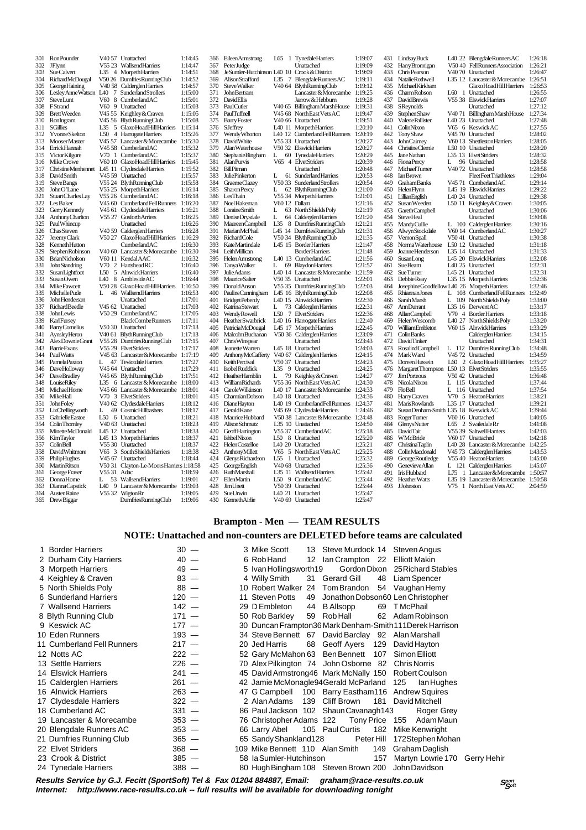301 Ron Pounder V40 57 Unattached 1:14:45 302 JFlynn V55 23 Wallsend Harriers 1:14:47<br>303 SueCalvert L35 4 Morpeth Harriers 1:14:51 303 Sue Calvert L35 4 Morpeth Harriers 1:14:51<br>304 Richard McDougal V50.26 Dumfries Running Club 1:14:52 304 Richard McDougal V50 26 Dumfries Running Club 1:14:52 305 George Haining V40 58 Calderglen Harriers 1:14:57 306 Lesley Anne Watson L40 7 Sunderland Strollers 1:15:00 307 SteveLunt V60 8 Cumberland AC 1:15:01<br>308 EStrand V60 9 Unattached 1:15:03 308 FStrand V60 9 Unattached 1:15:03<br>309 Brett Weeden V45 55 Keighley & Craven 1:15:05 309 Brett Weeden V45 55 Keighley & Craven 1:15:05<br>310 RonIngram V45 56 BlythRunningClub 1:15:08 310 Ron Ingram V45 56 Blyth Running Club 1:15:08 311 Salimbon: 1.15:50 Symbolian Latin 1.15:51<br>311 Solilies 1:50 4 Harriers 1:15:14<br>312 Yvonne Skelton 1:50 4 Harriers 1.15:26 312 Yvonne Skelton L50 4 Harrogate Harriers 1:15:26 313 Mooser Master V45 57 Lancaster & Morecambe 1:15:30<br>314 Errick Hannah V45 58 Cumberland AC 1:15:32 314 Errick Hannah V45 58 Cumberland AC 1:15:32<br>315 Victor Kilgore V70 1 Cumberland AC 1:15:37 315 Victor Kilgore V70 1 Cumberland AC 1:15:37<br>316 Mike Crowe V60 10 Glaxo Hoad Hill Harriers 1:15:45 316 Mike Crowe V60 10 Glaxo Hoad Hill Harriers 1:15:45 317 Christine Menhennet L45 11 Clydesdale Harriers 1:15:52<br>318 David Smith V45 59 Unattached 1:15:52 318 David Smith V45 59 Unattached 1:15:57<br>319 Steve Bangs V55 24 Blyth Running Club 1:15:58 319 Steve Bangs V55 24 Blyth Running Club 1:15:58<br>320 John O'I ane V55 25 Morneth Harriers 1:16:14 320 John O'Lane V55 25 Morpeth Harriers 1:16:14<br>321 Stuart Charles Lay V55 26 Cumberland AC 1:16:18 321 Stuart Charles Lay V55 26 Cumberland AC 1:16:18<br>322 Les Baker V45 60 Cumberland Fell Runners 1:16:20 322 Les Baker V45 60 Cumberland Fell Runners 1:16:20<br>323 Gerry Kennedy V45 61 Clydesdale Harriers 1:16:21 323 Gerry Kennedy V45 61 Composition Control and Capacity V45 61 CM<br>323 Gerry Kennedy V45 61 Clydesdale Harriers 1:16:21<br>116:25 324 Anthony Charlton V55 27 Gosforth Arriers 1:16:25 324 AnthonyCharlton V55 27 Gosforth Arriers 1:16:25<br>325 Paul Whincup Unattached 1:16:26<br>326 Chas Steven V40.59 Calderolen Harriers 1:16:28 326 Chas Steven V40 59 Calderglen Harriers 1:16:28 327 Jeremy Clark V50 27 Glaxo Hoad Hill Harriers 1:16:29 328 Kenneth Hutton Cumberland AC 1:16:30 329 Stephen Robinson V40 60 Lancaster & Morecambe 1:16:30<br>330 Brian Nicholson V60 11 Kendal AAC 1:16:32 330 Brian Nicholson V60 11 Kendal AAC 1:16:32 331 John Standring V70 2 Hartshead RC 1:16:40 332 Susan Lightfoot L50 5 Alnwick Harriers 1:16:40 333 Susan Owen L40 8 Ambleside AC 1:16:44 334 Mike Fawcett V50 28 Glaxo Hoad Hill Harriers 1:16:50 335 Michelle Pude L 46 Wallsend Harriers 1:16:53<br>336 John Henderson Unattached 1:17:01 336 John Henderson Unattached 1:17:01 337 Richard Beedle V45 62 Unattached 1:17:03<br>338 John Lewis V50 29 Cumberland AC 1:17:03 338 John Lewis V50 29 Cumberland AC 1:17:05<br>339 Karl Fursey Black Combe Runners 1:17:11 339 Karl Fursey Black Combe Runners 1:17:11<br>340 Barry Comelius 760 30 Unattached 1:17:11<br>341 Aynsley Heron 740 61 Blyth Running Club 1:17:13 340 Barry Cornelius V50 30 Unattached 1:17:13<br>341 Aveslev Heron V40 61 Blyth Burning Club 1:17:13 341 Aynsley Heron V40 61 Blyth Running Club 1:17:13 342 Alex Downie Grant V55 28 Dumfries Running Club 1:17:15 343 Barrie Evans V55 29 Elvet Striders 1:17:17<br>344 Paul Watts V45 63 Lancaster & Morecambe 1:17:19 344 Paul Watts V45 63 Lancaster & Morecambe 1:17:19 345 Pamela Paxton L 47 Teviotdale Harriers 1:17:27<br>346 Dave Holloway V45 64 Unattached 1:17:29 345 Fattivian annual 1986 - Contained 1:17:29<br>346 DaveBradley 1:16 V45 65 BlythRunningClub 1:17:51 347 DaveBradley V45 65 Blyth Running Club 1:17:51<br>348 Louise Riley 1.35 6 Lancaster & Morecambe 1:18:00 348 Louise Riley 1.35 6 Lancaster & Morecambe 1:18:00<br>349 Michael Home 1.18:01 349 Michael Horne V45 66 Lancaster & Morecambe 1:18:01<br>350 Mike Hall V70 3 Elvet Striders 1:18:01 350 Mike Hall  $V70$  3 Elvet Striders 1:18:01<br>351 John Foley  $V40$  62 Clydesdale Harriers 1:18:12 351 John Foley V40 62 Clydesdale Harriers 1:18:12 352 Liz Chellingworth L 49 Cosmic Hillbashers 1:18:17 353 Gabrielle Eastoe L50 6 Unattached 1:18:21<br>354 ColinThomley V40 63 Unattached 1:18:23 354 Colin Thornley V40 63 Unattached 1:18:23 355 Minette McDonald 145 12 Unattached 1:18:33<br>356 KimTavlor 145 13 Moroeth Harriers 1:18:37 356 Kim Taylor L45 13 Morpeth Harriers 1:18:37 357 Colin Bell V55 30 Unattached 1:18:37 358 David Whitmore V65 3 South Shields Harriers 1:18:38 359 PhilipHughes V45 67 Unattached 1:18:44 360 Martin Ritson V50 31 Clayton-Le-Moors Harriers 1:18:58 361 George Fraser V55 31 Adac 1:18:59 362 Donna Horne L 53 Wallsend Harriers 1:19:01 363 Dianna Capstick L40 9 Lancaster & Morecambe 1:19:03 363 Diamacapsick 256 32 Wigton Rr 1:19:05<br>364 Austen Raine V55 32 Wigton Rr 1:19:05<br>365 DrewBiggar DumfriesRunningClub 1:19:06

Dumfries Running Club

Helen Costelloe L40 20 Unattached<br>Anthony Millett V65 5 North Fast

366 Eileen Armstrong L65 1 Tynedale Harriers 1:19:07<br>367 Peter Judge Unattached 1:19:09 367 Peter Judge Unattached 1:19:09 368 Je Sumler-Hutchinson L40 10 Crook & District 1:19:09 369 Alison Strafford L35 7 Blengdale Runners AC 1:19:11 370 Steve Walker V40 64 Blyth Running Club 1:19:12 371 John Bertram Lancaster & Morecambe 1:19:25 372 DavidEllis Jarrow & Hebburn 1:19:28<br>373 PaulOutler V/0.65 Billingham MarchHeuse 1:19:31 373 Paul Cutler V40 65 Billingham Marsh House 1:19:31 374 Paul Tuffnell V45 68 North East Vets AC 1:19:47<br>375 Barry Foster V40 66 Unattached 1:19:51 375 Barry Foster V40 66 Unattached 1:19:51 376 SJeffrey L40 11 Morpeth Harriers 1:20:10<br>377 Wendy Whorton L40 12 CumberlandFellRunners 1:20:19 377 Wendy Whorton L40 12 Cumberland Fell Runners 1:20:19 378 David White V55 33 Unattached 1:20:27<br>379 Alan Waterhouse V50 32 Elswick Harriers 1:20:27 379 Alan Waterhouse V50 32 Elswick Harriers 1:20:27 380 Stephanie Bingham L 60 Tynedale Harriers 1:20:29 381 Alan Purvis V65 4 Elvet Striders 1:20:39<br>382 Bill Pitman V65 4 Elvet Striders 1:20:39 382 Bill Pitman Unattached 1:20:48<br>383 Bill Pitman Unattached 1:20:48<br>383 Iulie Pinkerton I. 61 Sunderland Harriers 1:20:53 383 Julie Pinkerton L 61 Sunderland Harriers 1:20:53 384 Graeme Clazey V50 33 Sunderland Strollers 1:20:54<br>385 Sharon Percy L 62 Blyth Running Club 1:21:00 385 Sharon Percy L 62 Blyth Running Club 1:21:00<br>386 Les Thain V55 34 Morpeth Harriers 1:21:01  $\frac{386}{386}$  Les Thain  $\frac{386}{34}$  Morpeth Harriers 1:21:01<br>387 Noel Hakeman V60 12 Dallam 1:21:16 387 Noel Hakeman V60 12 Dallam 1:21:16 1988 Loraine Smith L 63 North Shields Poly 1:21:19<br>388 Loraine Smith L 63 North Shields Poly 1:21:19<br>390 Maureen Campbell L35 8 Dumfries Running Club 1:21:21 389 Denise Drysdale L 64 Calderglen Harriers 1:21:20 390 Maureen Campbell L35 8 Dumfries Running Club 1:21:21 391 Marian McPhail L45 14 Dumfries Running Club 1:21:31 392 Richard Cole V50 34 Blyth Running Club 1:21:35<br>393 KateMartindale L45 15 Border Harriers 1:21:47 393 Kate Martindale L45 15 Border Harriers 1:21:47 394 Leith Millican Border Harriers 1:21:48 395 Helen Armstrong L40 13 Cumberland AC 1:21:56 396 Tanya Walker L 69 Blaydon Harriers 1:21:57 397 Julie Adams L40 14 Lancaster & Morecambe 1:21:59 398 Maurice Salter V50 35 Unattached 1:22:01 399 Donald Anson V55 35 Dumfries Running Club 1:22:03 400 Pauline Cunningham L45 16 Blyth Running Club 1:22:08 401 Bridget Peberdy L40 15 Alnwick Harriers 1:22:30<br>402 Katrina Stewart L 73 Calderglen Harriers 1:22:31 402 Katrina Stewart L 73 Calderglen Harriers 1.22.31<br>403 Wendy Rowell L 73 Calderglen Harriers 1.22.31 403 Wendy Rowell L50 7 Elvet Striders 1:22:36<br>404 Heather Swarbrick L40 16 Harrogate Harriers 1:22:40 404 Heather Swarbrick L40 16 Harrogate Harriers 1:22:40<br>405 Patricia McDougal 145 17 Morneth Harriers 1:22:45 405 Patricia McDougal L45 17 Morpeth Harriers 1:22:45 406 Malcolm Buchanan V50 36 Calderglen Harriers 1:23:09<br>407 Chris Winspear Unattached 1:23:43 407 Chris Winspear Unattached 1:23:43 408 Jeanette Warren 145 18 Unattached 1:24:03<br>409 Anthony McCafferty V40 67 Calderglen Harriers 1:24:15 409 Anthony McCafferty V40 67 Calderglen Harriers 1:24:15 410 Keith Percival V50 37 Unattached 1:24:23 411 Isobel Ruddick L35 9 Unattached 1:24:25<br>412 Heather Hamblin L 79 Keighley & Craven 1:24:27 412 Heather Hamblin L 79 Keighley & Craven<br>413 William Richards V55 36 North East Vets AC 1:24:30 413 William Richards 1945 36 North East Vets AC 1:24:30<br>414 Carole Wilkinson 140 17 Lancaster & Morecambe 1:24:33 414 Carole Wilkinson L40 17 Lancaster & Morecambe 1:24:33<br>415 Charmian Dobson L40 18 Unattached 1:24:36 415 Charmian Dobson L40 18 Unattached 1:24:36 416 Diane Hayton L40 19 Cumberland Fell Runners 1:24:37<br>417 Gerald Kane V45 69 Clydesdale Harriers 1:24:46 417 Gerald Kane V45 69 Clydesdale Harriers 1:24:46 418 Maurice Hubbard V50 38 Lancaster & Morecambe 1:24:48 419 Alison Schmutz L35 10 Unattached 1:24:50<br>420 Geoff Harrington V55 37 Cumberland AC 1:25:18 420 Geoff Harrington V55 37 Cumberland AC 1:25:18<br>421 Ishbel Nixon L50 8 Unattached 1:25:20 421 Ishbel Nixon L50 8 Unattached 1:25:20<br>422 Helen Costelloe L40 20 Unattached 1:25:21<br>423 Anthony Millett V65 5 North East Vets AC 1:25:25 423 Anthony Millett V65 5 North East Vets AC 1:25:25 424 Glenys Richardson L55 1 Unattached 1:25:32<br>425 George English V40 68 Unattached 1:25:32 425 George English V40 68 Unattached 1:25:36<br>426 RuthMarshall 1:35:11 Wallsond Harriers 1:25:42 426 Ruth Marshall L35 11 Wallsend Harriers 1:25:42 427 EllenMartin L50 9 Cumberland AC 1:25:44<br>428 Jim Unett V50 39 Unattached 1:25:44 428 Jim Unett V50 39 Unattached 1:25:44 429 Sue Urwin L40 21 Unattached 1:25:47 430 Kenneth Airlie V40 69 Unattached 1:25:47

| 431        | <b>Lindsay Buck</b>                         |                     | L40 22 BlengdaleRunnersAC                           | 1:26:18            |
|------------|---------------------------------------------|---------------------|-----------------------------------------------------|--------------------|
| 432        | Harry Bronnigan                             |                     | V50 40 FellRunners Association<br>V40 70 Unattached | 1:26:21            |
| 433        | Chris Pearson                               |                     |                                                     | 1:26:47            |
| 434        | Natalie Rothwell                            |                     | L35 12 Lancaster & Morecambe                        | 1:26:51            |
| 435        | Michael Kirkham                             |                     | Glaxo Hoad Hill Harriers                            | 1:26:53            |
| 436        | CharmRobson                                 | L60<br>1            | Unattached                                          | 1:26:55            |
| 437        | <b>DavidBrewis</b>                          |                     | V55 38 Elswick Harriers                             | 1:27:07            |
| 438        | SReynolds                                   |                     | Unattached                                          | 1:27:12            |
| 439        | <b>Stephen Shaw</b>                         | V <sub>40</sub> 71  | Billingham MarshHouse                               | 1:27:34            |
| 440        | <b>Valerie Pallister</b>                    |                     | L40 23 Unattached                                   | 1:27:48            |
| 441        | ColinNixon                                  |                     | V65 6 KeswickAC                                     | 1:27:55            |
| 442        | <b>Tony Shaw</b>                            |                     | V45 70 Unattached                                   | 1:28:02            |
| 443        | <b>JohnCairney</b>                          |                     | V60 13 Shettleston Harriers                         | 1:28:05            |
| 444        | <b>ChristineClemie</b>                      |                     | L50 10 Unattached                                   | 1:28:20            |
| 445        | <b>JaneNathan</b>                           |                     | L35 13 ElvetStriders                                | 1:28:32            |
| 446        | <b>FionaPercy</b>                           | L                   | 96 Unattached                                       | 1:28:58            |
| 447        | <b>MichaelTurner</b>                        |                     | V40 72 Unattached                                   | 1:28:58            |
| 448        | <b>IanBrown</b>                             |                     | <b>FleetFeetTriathletes</b>                         | 1:29:04            |
| 449        | <b>GrahamBanks</b>                          |                     | V45 71 Cumberland AC                                | 1:29:14            |
| 450        | HelenFlynn                                  |                     | L45 19 ElswickHarriers                              | 1:29:22            |
| 451        | LillianEnglish                              |                     | L40 24 Unattached                                   | 1:29:38            |
| 452        | Susan Weeden                                | L50 11              | Keighley & Craven                                   | 1:30:05            |
| 453        | <b>GarethCampbell</b>                       |                     | Unattached                                          | 1:30:06            |
| 454        | <b>SteveHeal</b>                            |                     | Unattached                                          | 1:30:08            |
| 455        | <b>MandyCullie</b>                          |                     | L 100 CalderglenHarriers                            | 1:30:16            |
| 456        | <b>AlwynStockdale</b>                       |                     | V60 14 CumberlandAC                                 | 1:30:27            |
| 457        | <b>VernonSpall</b>                          |                     | V50 41 Unattached                                   | 1:30:38            |
| 458        | Norma Waterhouse                            |                     | L50 12 Unattached                                   | 1:31:18            |
| 459        | Joanne Henderson                            |                     | L35 14 Unattached                                   | 1:31:33            |
| 460        | SusanLong                                   |                     | L45 20 Elswick Harriers                             | 1:32:08            |
| 461        | Sue Bearn                                   |                     | L40 25 Unattached                                   | 1:32:31            |
| 462        | <b>SueTurner</b>                            |                     | L45 21 Unattached                                   | 1:32:31            |
| 463        | Debbie Reay                                 |                     | L35 15 Morpeth Harriers                             | 1:32:36            |
| 464        | JosephineGoodfellow L40 26 Morpeth Harriers |                     |                                                     | 1:32:46            |
| 465        | Rhiannan Jones                              | L                   | 108 CumberlandFellRunners                           | 1:32:49            |
| 466        | Sarah Marsh                                 | L                   | 109 North Shields Poly                              | 1:33:00            |
| 467        | AnnDurrant                                  |                     | L35 16 DerwentAC<br>V70 4 Border Harriers           | 1:33:17            |
| 468<br>469 | AllanCampbell                               |                     |                                                     | 1:33:18            |
|            | Helen Wescomb                               |                     | L40 27 NorthShieldsPoly                             | 1:33:20            |
| 470<br>471 | WilliamEmbleton<br>ColinBanks               | V60 15              | <b>Alnwick Harriers</b>                             | 1:33:29            |
| 472        | <b>DavidTinker</b>                          |                     | Calderglen Harriers<br>Unattached                   | 1:34:15<br>1:34:31 |
| 473        |                                             | L 112               |                                                     | 1:34:48            |
| 474        | <b>RosalindCampbell</b><br>Mark Ward        |                     | DumfriesRunningClub<br>V45 72 Unattached            | 1:34:59            |
| 475        | Doreen Hussein                              |                     | L60 2 GlaxoHoadHillHarriers                         | 1:35:27            |
| 476        |                                             |                     | L50 13 ElvetStriders                                | 1:35:55            |
| 477        | Margaret Thompson<br><b>JimPorteous</b>     |                     | V50 42 Unattached                                   | 1:36:48            |
| 478        | NicolaNixon                                 |                     | L 115 Unattached                                    | 1:37:44            |
| 479        | FloBell                                     | L                   | 116 Unattached                                      | 1:37:54            |
| 480        | <b>Harry</b> Craven                         |                     | V70 5 Heaton Harriers                               | 1:38:21            |
| 481        | <b>MarisRowlands</b>                        |                     | L35 17 Unattached                                   | 1:39:21            |
| 482        | SusanDenham-Smith L35 18 KeswickAC          |                     |                                                     | 1:39:44            |
| 483        | RogerTumer                                  |                     | V60 16 Unattached                                   | 1:40:05            |
| 484        | <b>Glenys Nutter</b>                        | L65                 | 2 SwaledaleRr                                       | 1:41:08            |
| 485        | <b>DavidTait</b>                            |                     | V55 39 SaltwellHarriers                             | 1:42:03            |
| 486        | WMcBride                                    |                     | V60 17 Unattached                                   | 1:42:18            |
| 487        | ChristinaTaplin                             |                     | L40 28 Lancaster&Morecambe                          | 1:42:25            |
| 488        | ColinMacdonald                              |                     | V45 73 Calderglen Harriers                          | 1:43:53            |
| 489        | George Routledge                            |                     | V55 40 Heaton Harriers                              | 1:45:00            |
| 490        | Genevieve Allan                             |                     | L 121 CalderglenHarriers                            | 1:45:07            |
| 491        | <b>IrisHubbard</b>                          |                     | L75 1 Lancaster & Morecambe                         | 1:50:57            |
| 492        | <b>Heather Watts</b>                        |                     | L35 19 Lancaster & Morecambe                        | 1:50:58            |
| 493        | JJohnston                                   | V75<br>$\mathbf{1}$ | North East Vets AC                                  | 2:04:59            |

#### **Brampton - Men — TEAM RESULTS**

#### **NOTE: Unattached and non-counters are DELETED before teams are calculated**

| 1 Border Harriers          | $30 -$  |  | 3 Mike Scott                                       |    | 13 Steve Murdock 14 Steven Angus |     |                                                            |
|----------------------------|---------|--|----------------------------------------------------|----|----------------------------------|-----|------------------------------------------------------------|
| 2 Durham City Harriers     | $40 -$  |  | 6 Rob Hand                                         |    | 12 Ian Crampton 22               |     | Elliott Makin                                              |
| 3 Morpeth Harriers         | $49 -$  |  | 5 Ivan Hollingsworth 19                            |    |                                  |     | Gordon Dixon 25 Richard Stables                            |
| 4 Keighley & Craven        | $83 -$  |  | 4 Willy Smith                                      |    | 31 Gerard Gill                   |     | 48 Liam Spencer                                            |
| 5 North Shields Poly       | $88 -$  |  | 10 Robert Walker                                   |    | 24 Tom Brandon                   |     | 54 Vaughan Hemy                                            |
| 6 Sunderland Harriers      | $120 -$ |  | 11 Steven Potts                                    | 49 |                                  |     | Jonathon Dobson60 Len Christopher                          |
| 7 Wallsend Harriers        | $142 -$ |  | 29 D Embleton                                      | 44 | B Allsopp                        |     | 69 TMcPhail                                                |
| 8 Blyth Running Club       | $171 -$ |  | 50 Rob Barkley                                     |    | 59 RobHall                       |     | 62 Adam Robinson                                           |
| 9 Keswick AC               | $177 -$ |  |                                                    |    |                                  |     | 30 Duncan Frampton 36 Mark Denham-Smith 111 Derek Harrison |
| 10 Eden Runners            | $193 -$ |  | 34 Steve Bennett 67 David Barclay 92 Alan Marshall |    |                                  |     |                                                            |
| 11 Cumberland Fell Runners | $217 -$ |  | 20 Jed Harris                                      |    | 68 Geoff Ayers 129 David Hayton  |     |                                                            |
| 12 Notts AC                | $222 -$ |  | 52 Gary McMahon 63 Ben Bennett 107                 |    |                                  |     | Simon Elliott                                              |
| 13 Settle Harriers         | $226 -$ |  | 70 Alex Pilkington 74 John Osborne 82              |    |                                  |     | <b>Chris Norris</b>                                        |
| 14 Elswick Harriers        | $241 -$ |  |                                                    |    |                                  |     | 45 David Armstrong 46 Mark McNally 150 Robert Coulson      |
| 15 Calderglen Harriers     | $261 -$ |  |                                                    |    |                                  |     | 42 Jamie McMonagle94Gerald McParland 125 Ian Hughes        |
| 16 Alnwick Harriers        | $263 -$ |  | 47 G Campbell                                      |    |                                  |     | 100 Barry Eastham116 Andrew Squires                        |
| 17 Clydesdale Harriers     | $322 -$ |  | 2 Alan Adams                                       |    | 139 Cliff Brown                  |     | 181 David Mitchell                                         |
| 18 Cumberland AC           | $331 -$ |  | 86 Paul Jackson 102 Shaun Cavanagh143              |    |                                  |     | Roger Grey                                                 |
| 19 Lancaster & Morecambe   | $353 -$ |  | 76 Christopher Adams 122                           |    | Tony Price 155                   |     | Adam Maun                                                  |
| 20 Blengdale Runners AC    | $353 -$ |  | 66 Larry Abel                                      |    | 105 Paul Curtis                  | 182 | Mike Kenwright                                             |
| 21 Dumfries Running Club   | $365 -$ |  | 65 Sandy Shankland 128                             |    | Peter Hill                       |     | 172Stephen Mohan                                           |
| 22 Elvet Striders          | $368 -$ |  | 109 Mike Bennett 110 Alan Smith                    |    |                                  |     | 149 Graham Daglish                                         |
| 23 Crook & District        | $385 -$ |  | 58 la Sumler-Hutchinson                            |    |                                  | 157 | Martyn Lowrie 170<br>Gerry Hehir                           |
| 24 Tynedale Harriers       | $388 -$ |  | 80 Hugh Bingham 108 Steven Brown 200               |    |                                  |     | John Davidson                                              |

**Results Service by G.J. Fecitt (SportSoft) Tel & Fax 01204 884887, Email: graham@race-results.co.uk Internet: http://www.race-results.co.uk -- full results will be available for downloading tonight**